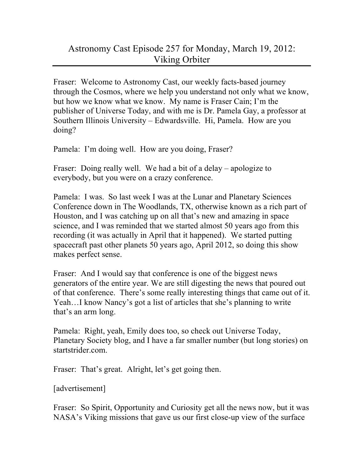## Astronomy Cast Episode 257 for Monday, March 19, 2012: Viking Orbiter

Fraser: Welcome to Astronomy Cast, our weekly facts-based journey through the Cosmos, where we help you understand not only what we know, but how we know what we know. My name is Fraser Cain; I'm the publisher of Universe Today, and with me is Dr. Pamela Gay, a professor at Southern Illinois University – Edwardsville. Hi, Pamela. How are you doing?

Pamela: I'm doing well. How are you doing, Fraser?

Fraser: Doing really well. We had a bit of a delay – apologize to everybody, but you were on a crazy conference.

Pamela: I was. So last week I was at the Lunar and Planetary Sciences Conference down in The Woodlands, TX, otherwise known as a rich part of Houston, and I was catching up on all that's new and amazing in space science, and I was reminded that we started almost 50 years ago from this recording (it was actually in April that it happened). We started putting spacecraft past other planets 50 years ago, April 2012, so doing this show makes perfect sense.

Fraser: And I would say that conference is one of the biggest news generators of the entire year. We are still digesting the news that poured out of that conference. There's some really interesting things that came out of it. Yeah…I know Nancy's got a list of articles that she's planning to write that's an arm long.

Pamela: Right, yeah, Emily does too, so check out Universe Today, Planetary Society blog, and I have a far smaller number (but long stories) on startstrider.com.

Fraser: That's great. Alright, let's get going then.

[advertisement]

Fraser: So Spirit, Opportunity and Curiosity get all the news now, but it was NASA's Viking missions that gave us our first close-up view of the surface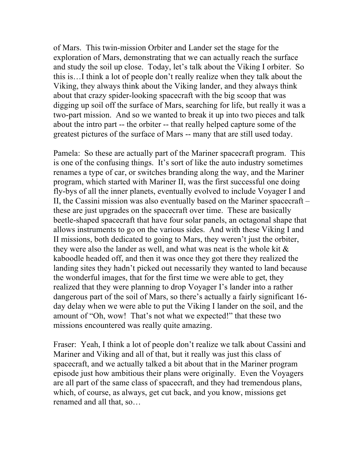of Mars. This twin-mission Orbiter and Lander set the stage for the exploration of Mars, demonstrating that we can actually reach the surface and study the soil up close. Today, let's talk about the Viking I orbiter. So this is…I think a lot of people don't really realize when they talk about the Viking, they always think about the Viking lander, and they always think about that crazy spider-looking spacecraft with the big scoop that was digging up soil off the surface of Mars, searching for life, but really it was a two-part mission. And so we wanted to break it up into two pieces and talk about the intro part -- the orbiter -- that really helped capture some of the greatest pictures of the surface of Mars -- many that are still used today.

Pamela: So these are actually part of the Mariner spacecraft program. This is one of the confusing things. It's sort of like the auto industry sometimes renames a type of car, or switches branding along the way, and the Mariner program, which started with Mariner II, was the first successful one doing fly-bys of all the inner planets, eventually evolved to include Voyager I and II, the Cassini mission was also eventually based on the Mariner spacecraft – these are just upgrades on the spacecraft over time. These are basically beetle-shaped spacecraft that have four solar panels, an octagonal shape that allows instruments to go on the various sides. And with these Viking I and II missions, both dedicated to going to Mars, they weren't just the orbiter, they were also the lander as well, and what was neat is the whole kit  $\&$ kaboodle headed off, and then it was once they got there they realized the landing sites they hadn't picked out necessarily they wanted to land because the wonderful images, that for the first time we were able to get, they realized that they were planning to drop Voyager I's lander into a rather dangerous part of the soil of Mars, so there's actually a fairly significant 16 day delay when we were able to put the Viking I lander on the soil, and the amount of "Oh, wow! That's not what we expected!" that these two missions encountered was really quite amazing.

Fraser: Yeah, I think a lot of people don't realize we talk about Cassini and Mariner and Viking and all of that, but it really was just this class of spacecraft, and we actually talked a bit about that in the Mariner program episode just how ambitious their plans were originally. Even the Voyagers are all part of the same class of spacecraft, and they had tremendous plans, which, of course, as always, get cut back, and you know, missions get renamed and all that, so…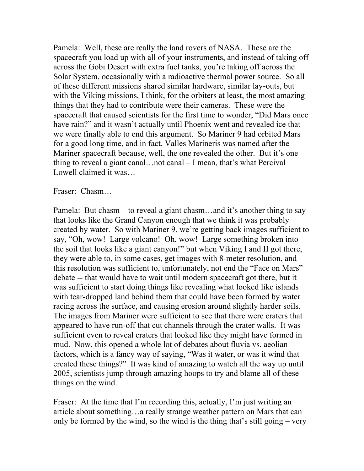Pamela: Well, these are really the land rovers of NASA. These are the spacecraft you load up with all of your instruments, and instead of taking off across the Gobi Desert with extra fuel tanks, you're taking off across the Solar System, occasionally with a radioactive thermal power source. So all of these different missions shared similar hardware, similar lay-outs, but with the Viking missions, I think, for the orbiters at least, the most amazing things that they had to contribute were their cameras. These were the spacecraft that caused scientists for the first time to wonder, "Did Mars once have rain?" and it wasn't actually until Phoenix went and revealed ice that we were finally able to end this argument. So Mariner 9 had orbited Mars for a good long time, and in fact, Valles Marineris was named after the Mariner spacecraft because, well, the one revealed the other. But it's one thing to reveal a giant canal…not canal – I mean, that's what Percival Lowell claimed it was…

Fraser: Chasm…

Pamela: But chasm – to reveal a giant chasm…and it's another thing to say that looks like the Grand Canyon enough that we think it was probably created by water. So with Mariner 9, we're getting back images sufficient to say, "Oh, wow! Large volcano! Oh, wow! Large something broken into the soil that looks like a giant canyon!" but when Viking I and II got there, they were able to, in some cases, get images with 8-meter resolution, and this resolution was sufficient to, unfortunately, not end the "Face on Mars" debate -- that would have to wait until modern spacecraft got there, but it was sufficient to start doing things like revealing what looked like islands with tear-dropped land behind them that could have been formed by water racing across the surface, and causing erosion around slightly harder soils. The images from Mariner were sufficient to see that there were craters that appeared to have run-off that cut channels through the crater walls. It was sufficient even to reveal craters that looked like they might have formed in mud. Now, this opened a whole lot of debates about fluvia vs. aeolian factors, which is a fancy way of saying, "Was it water, or was it wind that created these things?" It was kind of amazing to watch all the way up until 2005, scientists jump through amazing hoops to try and blame all of these things on the wind.

Fraser: At the time that I'm recording this, actually, I'm just writing an article about something…a really strange weather pattern on Mars that can only be formed by the wind, so the wind is the thing that's still going – very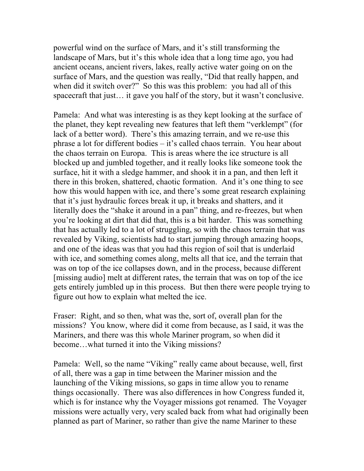powerful wind on the surface of Mars, and it's still transforming the landscape of Mars, but it's this whole idea that a long time ago, you had ancient oceans, ancient rivers, lakes, really active water going on on the surface of Mars, and the question was really, "Did that really happen, and when did it switch over?" So this was this problem: you had all of this spacecraft that just… it gave you half of the story, but it wasn't conclusive.

Pamela: And what was interesting is as they kept looking at the surface of the planet, they kept revealing new features that left them "verklempt" (for lack of a better word). There's this amazing terrain, and we re-use this phrase a lot for different bodies – it's called chaos terrain. You hear about the chaos terrain on Europa. This is areas where the ice structure is all blocked up and jumbled together, and it really looks like someone took the surface, hit it with a sledge hammer, and shook it in a pan, and then left it there in this broken, shattered, chaotic formation. And it's one thing to see how this would happen with ice, and there's some great research explaining that it's just hydraulic forces break it up, it breaks and shatters, and it literally does the "shake it around in a pan" thing, and re-freezes, but when you're looking at dirt that did that, this is a bit harder. This was something that has actually led to a lot of struggling, so with the chaos terrain that was revealed by Viking, scientists had to start jumping through amazing hoops, and one of the ideas was that you had this region of soil that is underlaid with ice, and something comes along, melts all that ice, and the terrain that was on top of the ice collapses down, and in the process, because different [missing audio] melt at different rates, the terrain that was on top of the ice gets entirely jumbled up in this process. But then there were people trying to figure out how to explain what melted the ice.

Fraser: Right, and so then, what was the, sort of, overall plan for the missions? You know, where did it come from because, as I said, it was the Mariners, and there was this whole Mariner program, so when did it become…what turned it into the Viking missions?

Pamela: Well, so the name "Viking" really came about because, well, first of all, there was a gap in time between the Mariner mission and the launching of the Viking missions, so gaps in time allow you to rename things occasionally. There was also differences in how Congress funded it, which is for instance why the Voyager missions got renamed. The Voyager missions were actually very, very scaled back from what had originally been planned as part of Mariner, so rather than give the name Mariner to these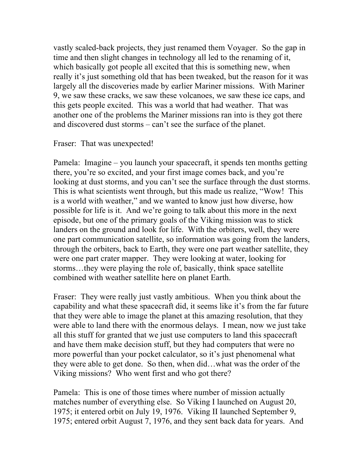vastly scaled-back projects, they just renamed them Voyager. So the gap in time and then slight changes in technology all led to the renaming of it, which basically got people all excited that this is something new, when really it's just something old that has been tweaked, but the reason for it was largely all the discoveries made by earlier Mariner missions. With Mariner 9, we saw these cracks, we saw these volcanoes, we saw these ice caps, and this gets people excited. This was a world that had weather. That was another one of the problems the Mariner missions ran into is they got there and discovered dust storms – can't see the surface of the planet.

## Fraser: That was unexpected!

Pamela: Imagine – you launch your spacecraft, it spends ten months getting there, you're so excited, and your first image comes back, and you're looking at dust storms, and you can't see the surface through the dust storms. This is what scientists went through, but this made us realize, "Wow! This is a world with weather," and we wanted to know just how diverse, how possible for life is it. And we're going to talk about this more in the next episode, but one of the primary goals of the Viking mission was to stick landers on the ground and look for life. With the orbiters, well, they were one part communication satellite, so information was going from the landers, through the orbiters, back to Earth, they were one part weather satellite, they were one part crater mapper. They were looking at water, looking for storms…they were playing the role of, basically, think space satellite combined with weather satellite here on planet Earth.

Fraser: They were really just vastly ambitious. When you think about the capability and what these spacecraft did, it seems like it's from the far future that they were able to image the planet at this amazing resolution, that they were able to land there with the enormous delays. I mean, now we just take all this stuff for granted that we just use computers to land this spacecraft and have them make decision stuff, but they had computers that were no more powerful than your pocket calculator, so it's just phenomenal what they were able to get done. So then, when did…what was the order of the Viking missions? Who went first and who got there?

Pamela: This is one of those times where number of mission actually matches number of everything else. So Viking I launched on August 20, 1975; it entered orbit on July 19, 1976. Viking II launched September 9, 1975; entered orbit August 7, 1976, and they sent back data for years. And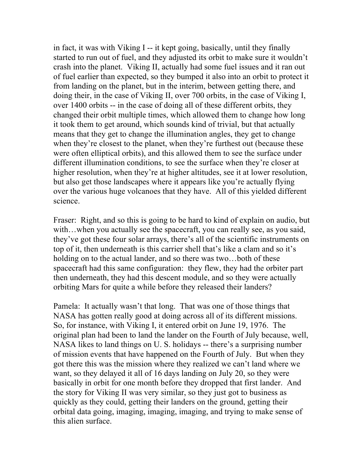in fact, it was with Viking I -- it kept going, basically, until they finally started to run out of fuel, and they adjusted its orbit to make sure it wouldn't crash into the planet. Viking II, actually had some fuel issues and it ran out of fuel earlier than expected, so they bumped it also into an orbit to protect it from landing on the planet, but in the interim, between getting there, and doing their, in the case of Viking II, over 700 orbits, in the case of Viking I, over 1400 orbits -- in the case of doing all of these different orbits, they changed their orbit multiple times, which allowed them to change how long it took them to get around, which sounds kind of trivial, but that actually means that they get to change the illumination angles, they get to change when they're closest to the planet, when they're furthest out (because these were often elliptical orbits), and this allowed them to see the surface under different illumination conditions, to see the surface when they're closer at higher resolution, when they're at higher altitudes, see it at lower resolution, but also get those landscapes where it appears like you're actually flying over the various huge volcanoes that they have. All of this yielded different science.

Fraser: Right, and so this is going to be hard to kind of explain on audio, but with…when you actually see the spacecraft, you can really see, as you said, they've got these four solar arrays, there's all of the scientific instruments on top of it, then underneath is this carrier shell that's like a clam and so it's holding on to the actual lander, and so there was two...both of these spacecraft had this same configuration: they flew, they had the orbiter part then underneath, they had this descent module, and so they were actually orbiting Mars for quite a while before they released their landers?

Pamela: It actually wasn't that long. That was one of those things that NASA has gotten really good at doing across all of its different missions. So, for instance, with Viking I, it entered orbit on June 19, 1976. The original plan had been to land the lander on the Fourth of July because, well, NASA likes to land things on U. S. holidays -- there's a surprising number of mission events that have happened on the Fourth of July. But when they got there this was the mission where they realized we can't land where we want, so they delayed it all of 16 days landing on July 20, so they were basically in orbit for one month before they dropped that first lander. And the story for Viking II was very similar, so they just got to business as quickly as they could, getting their landers on the ground, getting their orbital data going, imaging, imaging, imaging, and trying to make sense of this alien surface.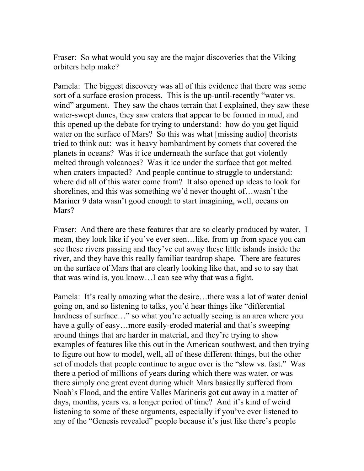Fraser: So what would you say are the major discoveries that the Viking orbiters help make?

Pamela: The biggest discovery was all of this evidence that there was some sort of a surface erosion process. This is the up-until-recently "water vs. wind" argument. They saw the chaos terrain that I explained, they saw these water-swept dunes, they saw craters that appear to be formed in mud, and this opened up the debate for trying to understand: how do you get liquid water on the surface of Mars? So this was what [missing audio] theorists tried to think out: was it heavy bombardment by comets that covered the planets in oceans? Was it ice underneath the surface that got violently melted through volcanoes? Was it ice under the surface that got melted when craters impacted? And people continue to struggle to understand: where did all of this water come from? It also opened up ideas to look for shorelines, and this was something we'd never thought of…wasn't the Mariner 9 data wasn't good enough to start imagining, well, oceans on Mars?

Fraser: And there are these features that are so clearly produced by water. I mean, they look like if you've ever seen…like, from up from space you can see these rivers passing and they've cut away these little islands inside the river, and they have this really familiar teardrop shape. There are features on the surface of Mars that are clearly looking like that, and so to say that that was wind is, you know…I can see why that was a fight.

Pamela: It's really amazing what the desire…there was a lot of water denial going on, and so listening to talks, you'd hear things like "differential hardness of surface..." so what you're actually seeing is an area where you have a gully of easy...more easily-eroded material and that's sweeping around things that are harder in material, and they're trying to show examples of features like this out in the American southwest, and then trying to figure out how to model, well, all of these different things, but the other set of models that people continue to argue over is the "slow vs. fast." Was there a period of millions of years during which there was water, or was there simply one great event during which Mars basically suffered from Noah's Flood, and the entire Valles Marineris got cut away in a matter of days, months, years vs. a longer period of time? And it's kind of weird listening to some of these arguments, especially if you've ever listened to any of the "Genesis revealed" people because it's just like there's people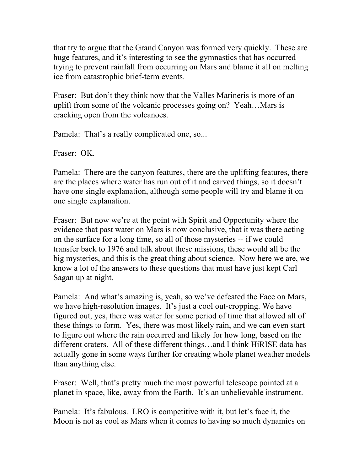that try to argue that the Grand Canyon was formed very quickly. These are huge features, and it's interesting to see the gymnastics that has occurred trying to prevent rainfall from occurring on Mars and blame it all on melting ice from catastrophic brief-term events.

Fraser: But don't they think now that the Valles Marineris is more of an uplift from some of the volcanic processes going on? Yeah…Mars is cracking open from the volcanoes.

Pamela: That's a really complicated one, so...

Fraser: OK.

Pamela: There are the canyon features, there are the uplifting features, there are the places where water has run out of it and carved things, so it doesn't have one single explanation, although some people will try and blame it on one single explanation.

Fraser: But now we're at the point with Spirit and Opportunity where the evidence that past water on Mars is now conclusive, that it was there acting on the surface for a long time, so all of those mysteries -- if we could transfer back to 1976 and talk about these missions, these would all be the big mysteries, and this is the great thing about science. Now here we are, we know a lot of the answers to these questions that must have just kept Carl Sagan up at night.

Pamela: And what's amazing is, yeah, so we've defeated the Face on Mars, we have high-resolution images. It's just a cool out-cropping. We have figured out, yes, there was water for some period of time that allowed all of these things to form. Yes, there was most likely rain, and we can even start to figure out where the rain occurred and likely for how long, based on the different craters. All of these different things…and I think HiRISE data has actually gone in some ways further for creating whole planet weather models than anything else.

Fraser: Well, that's pretty much the most powerful telescope pointed at a planet in space, like, away from the Earth. It's an unbelievable instrument.

Pamela: It's fabulous. LRO is competitive with it, but let's face it, the Moon is not as cool as Mars when it comes to having so much dynamics on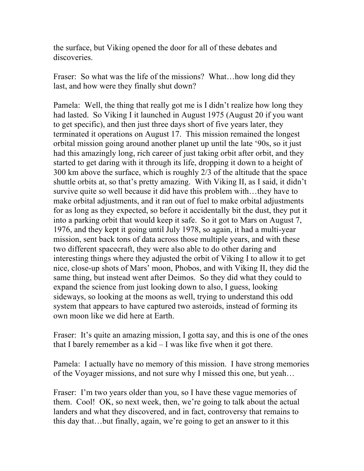the surface, but Viking opened the door for all of these debates and discoveries.

Fraser: So what was the life of the missions? What...how long did they last, and how were they finally shut down?

Pamela: Well, the thing that really got me is I didn't realize how long they had lasted. So Viking I it launched in August 1975 (August 20 if you want to get specific), and then just three days short of five years later, they terminated it operations on August 17. This mission remained the longest orbital mission going around another planet up until the late '90s, so it just had this amazingly long, rich career of just taking orbit after orbit, and they started to get daring with it through its life, dropping it down to a height of 300 km above the surface, which is roughly 2/3 of the altitude that the space shuttle orbits at, so that's pretty amazing. With Viking II, as I said, it didn't survive quite so well because it did have this problem with…they have to make orbital adjustments, and it ran out of fuel to make orbital adjustments for as long as they expected, so before it accidentally bit the dust, they put it into a parking orbit that would keep it safe. So it got to Mars on August 7, 1976, and they kept it going until July 1978, so again, it had a multi-year mission, sent back tons of data across those multiple years, and with these two different spacecraft, they were also able to do other daring and interesting things where they adjusted the orbit of Viking I to allow it to get nice, close-up shots of Mars' moon, Phobos, and with Viking II, they did the same thing, but instead went after Deimos. So they did what they could to expand the science from just looking down to also, I guess, looking sideways, so looking at the moons as well, trying to understand this odd system that appears to have captured two asteroids, instead of forming its own moon like we did here at Earth.

Fraser: It's quite an amazing mission, I gotta say, and this is one of the ones that I barely remember as a  $kid - I$  was like five when it got there.

Pamela: I actually have no memory of this mission. I have strong memories of the Voyager missions, and not sure why I missed this one, but yeah…

Fraser: I'm two years older than you, so I have these vague memories of them. Cool! OK, so next week, then, we're going to talk about the actual landers and what they discovered, and in fact, controversy that remains to this day that…but finally, again, we're going to get an answer to it this